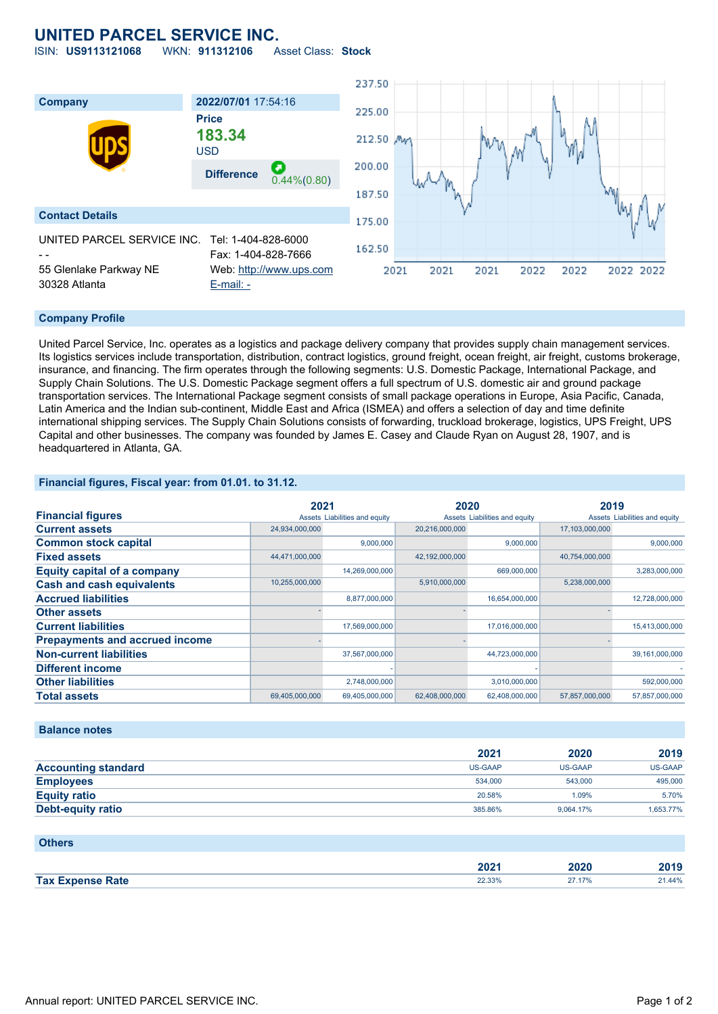## **UNITED PARCEL SERVICE INC.**

ISIN: **US9113121068** WKN: **911312106** Asset Class: **Stock**



### **Company Profile**

United Parcel Service, Inc. operates as a logistics and package delivery company that provides supply chain management services. Its logistics services include transportation, distribution, contract logistics, ground freight, ocean freight, air freight, customs brokerage, insurance, and financing. The firm operates through the following segments: U.S. Domestic Package, International Package, and Supply Chain Solutions. The U.S. Domestic Package segment offers a full spectrum of U.S. domestic air and ground package transportation services. The International Package segment consists of small package operations in Europe, Asia Pacific, Canada, Latin America and the Indian sub-continent, Middle East and Africa (ISMEA) and offers a selection of day and time definite international shipping services. The Supply Chain Solutions consists of forwarding, truckload brokerage, logistics, UPS Freight, UPS Capital and other businesses. The company was founded by James E. Casey and Claude Ryan on August 28, 1907, and is headquartered in Atlanta, GA.

**Financial figures, Fiscal year: from 01.01. to 31.12.**

|                                       | 2021           |                               | 2020           |                               | 2019           |                               |
|---------------------------------------|----------------|-------------------------------|----------------|-------------------------------|----------------|-------------------------------|
| <b>Financial figures</b>              |                | Assets Liabilities and equity |                | Assets Liabilities and equity |                | Assets Liabilities and equity |
| <b>Current assets</b>                 | 24,934,000,000 |                               | 20,216,000,000 |                               | 17,103,000,000 |                               |
| <b>Common stock capital</b>           |                | 9.000.000                     |                | 9,000,000                     |                | 9.000.000                     |
| <b>Fixed assets</b>                   | 44,471,000,000 |                               | 42,192,000,000 |                               | 40,754,000,000 |                               |
| <b>Equity capital of a company</b>    |                | 14,269,000,000                |                | 669,000,000                   |                | 3,283,000,000                 |
| <b>Cash and cash equivalents</b>      | 10,255,000,000 |                               | 5,910,000,000  |                               | 5,238,000,000  |                               |
| <b>Accrued liabilities</b>            |                | 8,877,000,000                 |                | 16,654,000,000                |                | 12,728,000,000                |
| <b>Other assets</b>                   |                |                               |                |                               |                |                               |
| <b>Current liabilities</b>            |                | 17,569,000,000                |                | 17,016,000,000                |                | 15,413,000,000                |
| <b>Prepayments and accrued income</b> |                |                               |                |                               |                |                               |
| <b>Non-current liabilities</b>        |                | 37,567,000,000                |                | 44,723,000,000                |                | 39,161,000,000                |
| <b>Different income</b>               |                |                               |                |                               |                |                               |
| <b>Other liabilities</b>              |                | 2,748,000,000                 |                | 3,010,000,000                 |                | 592,000,000                   |
| <b>Total assets</b>                   | 69,405,000,000 | 69,405,000,000                | 62,408,000,000 | 62,408,000,000                | 57,857,000,000 | 57,857,000,000                |

### **Balance notes**

|                            | 2021           | 2020      | 2019      |
|----------------------------|----------------|-----------|-----------|
| <b>Accounting standard</b> | <b>US-GAAP</b> | US-GAAP   | US-GAAP   |
| <b>Employees</b>           | 534,000        | 543,000   | 495,000   |
| <b>Equity ratio</b>        | 20.58%         | 1.09%     | 5.70%     |
| Debt-equity ratio          | 385.86%        | 9.064.17% | 1,653.77% |

## **Others**

|                                         | 202 <sub>1</sub>                     | $- - -$<br>∠020 | 2019   |
|-----------------------------------------|--------------------------------------|-----------------|--------|
| <b>Tax F</b><br>the Rate and<br>-ynanca | <b>JJ 330</b><br><b>22.3370</b><br>. | 17%             | 21.44% |